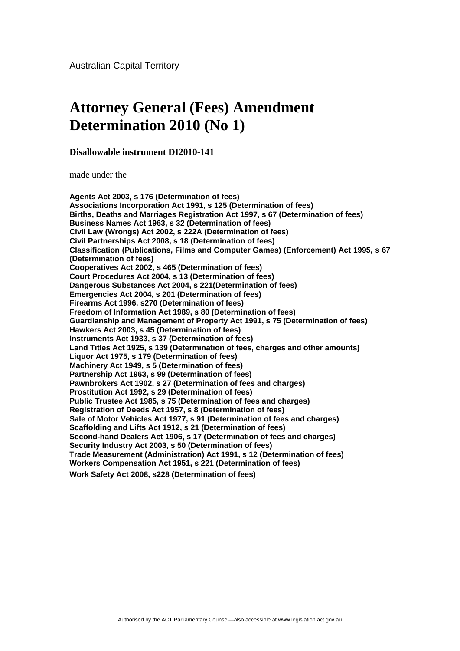## **Attorney General (Fees) Amendment Determination 2010 (No 1)**

**Disallowable instrument DI2010-141** 

made under the

**Agents Act 2003, s 176 (Determination of fees) Associations Incorporation Act 1991, s 125 (Determination of fees) Births, Deaths and Marriages Registration Act 1997, s 67 (Determination of fees) Business Names Act 1963, s 32 (Determination of fees) Civil Law (Wrongs) Act 2002, s 222A (Determination of fees) Civil Partnerships Act 2008, s 18 (Determination of fees) Classification (Publications, Films and Computer Games) (Enforcement) Act 1995, s 67 (Determination of fees) Cooperatives Act 2002, s 465 (Determination of fees) Court Procedures Act 2004, s 13 (Determination of fees) Dangerous Substances Act 2004, s 221(Determination of fees) Emergencies Act 2004, s 201 (Determination of fees) Firearms Act 1996, s270 (Determination of fees) Freedom of Information Act 1989, s 80 (Determination of fees) Guardianship and Management of Property Act 1991, s 75 (Determination of fees) Hawkers Act 2003, s 45 (Determination of fees) Instruments Act 1933, s 37 (Determination of fees) Land Titles Act 1925, s 139 (Determination of fees, charges and other amounts) Liquor Act 1975, s 179 (Determination of fees) Machinery Act 1949, s 5 (Determination of fees) Partnership Act 1963, s 99 (Determination of fees) Pawnbrokers Act 1902, s 27 (Determination of fees and charges) Prostitution Act 1992, s 29 (Determination of fees) Public Trustee Act 1985, s 75 (Determination of fees and charges) Registration of Deeds Act 1957, s 8 (Determination of fees) Sale of Motor Vehicles Act 1977, s 91 (Determination of fees and charges) Scaffolding and Lifts Act 1912, s 21 (Determination of fees) Second-hand Dealers Act 1906, s 17 (Determination of fees and charges) Security Industry Act 2003, s 50 (Determination of fees) Trade Measurement (Administration) Act 1991, s 12 (Determination of fees) Workers Compensation Act 1951, s 221 (Determination of fees) Work Safety Act 2008, s228 (Determination of fees)**